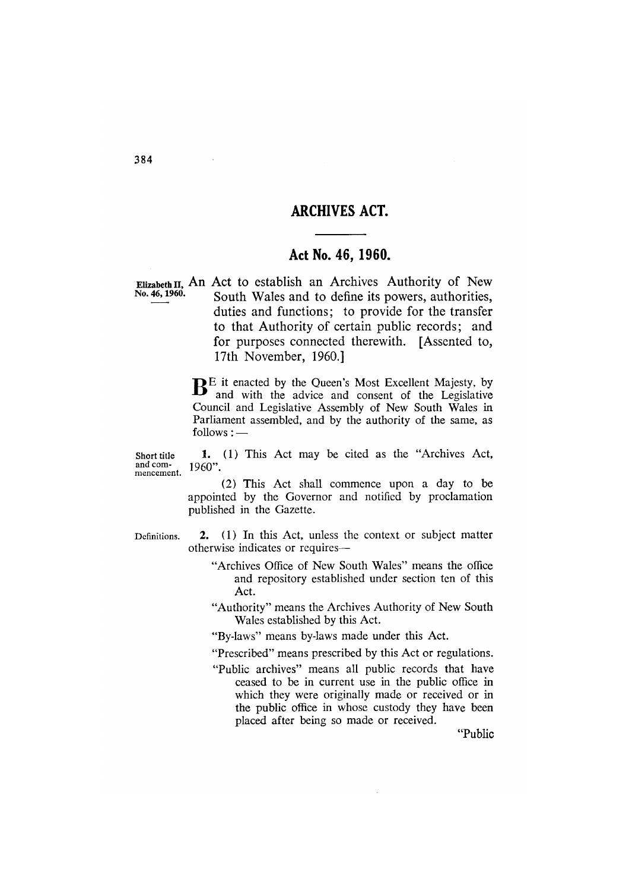# **ARCHIVES ACT.**

# Act No. 46, 1960.

Elizabeth II, An Act to establish an Archives Authority of New No. 46, 1960. South Wales and to define its powers, authorities, duties and functions; to provide for the transfer to that Authority of certain public records; and for purposes connected therewith. [Assented to, 17th November, 1960.]

> $\mathbf{B}^{\text{E}}$  it enacted by the Queen's Most Excellent Majesty, by and with the advice and consent of the Legislative Council and Legislative Assembly of New South Wales in Parliament assembled, and by the authority of the same, as  $follows:$  —

Short title and commencement.

1. (1) This Act may be cited as the "Archives Act, 1960".

(2) This Act shall commence upon a day to be appointed by the Governor and notified by proclamation published in the Gazette.

Definitions.

2. (1) In this Act, unless the context or subject matter otherwise indicates or requires-

"Archives Office of New South Wales" means the office and repository established under section ten of this Act.

"Authority" means the Archives Authority of New South Wales established by this Act.

"By-laws" means by-laws made under this Act.

"Prescribed" means prescribed by this Act or regulations.

"Public archives" means all public records that have ceased to be in current use in the public office in which they were originally made or received or in the public office in whose custody they have been placed after being so made or received.

"Public

À.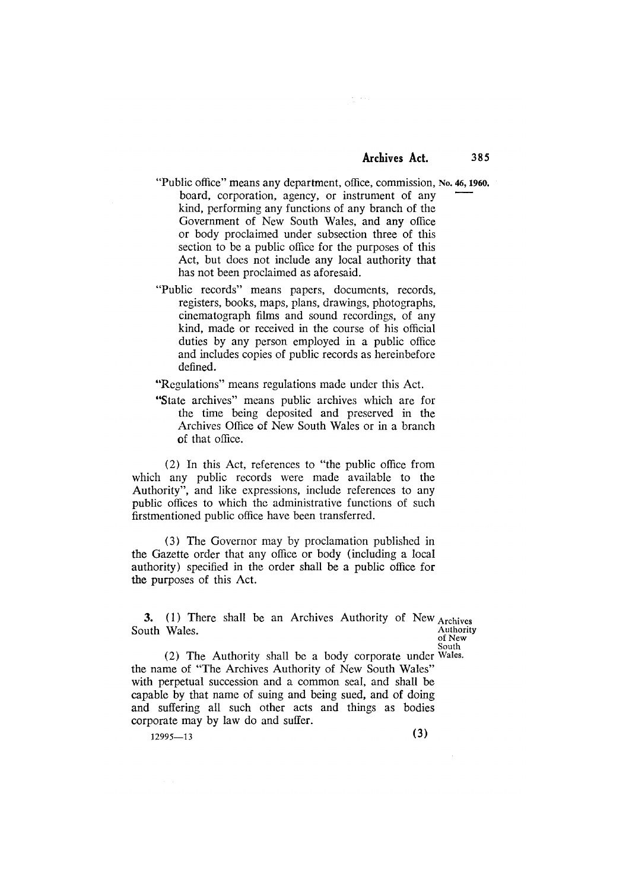$\mathcal{L}=\mathcal{L}(\mathcal{L})$ 

- "Public office" means any department, office, commission, No. 46, 1960. board, corporation, agency, or instrument of any kind, performing any functions of any branch of the Government of New South Wales, and any office or body proclaimed under subsection three of this section to be a public office for the purposes of this Act, but does not include any local authority that has not been proclaimed as aforesaid.
- "Public records" means papers, documents, records, registers, books, maps, plans, drawings, photographs, cinematograph films and sound recordings, of any kind, made or received in the course of his official duties by any person employed in a public office and includes copies of public records as hereinbefore defined.

"Regulations" means regulations made under this Act.

"State archives" means public archives which are for the time being deposited and preserved in the Archives Office of New South Wales or in a branch of that office.

(2) In this Act, references to "the public office from which any public records were made available to the Authority", and like expressions, include references to any public offices to which the administrative functions of such firstmentioned public office have been transferred.

(3) The Governor may by proclamation published in the Gazette order that any office or body (including a local authority) specified in the order shall be a public office for the purposes of this Act.

3. (1) There shall be an Archives Authority of New Archives Authority South Wales.

of New South

(2) The Authority shall be a body corporate under Wales. the name of "The Archives Authority of New South Wales" with perpetual succession and a common seal, and shall be capable by that name of suing and being sued, and of doing and suffering all such other acts and things as bodies corporate may by law do and suffer.

 $12995 - 13$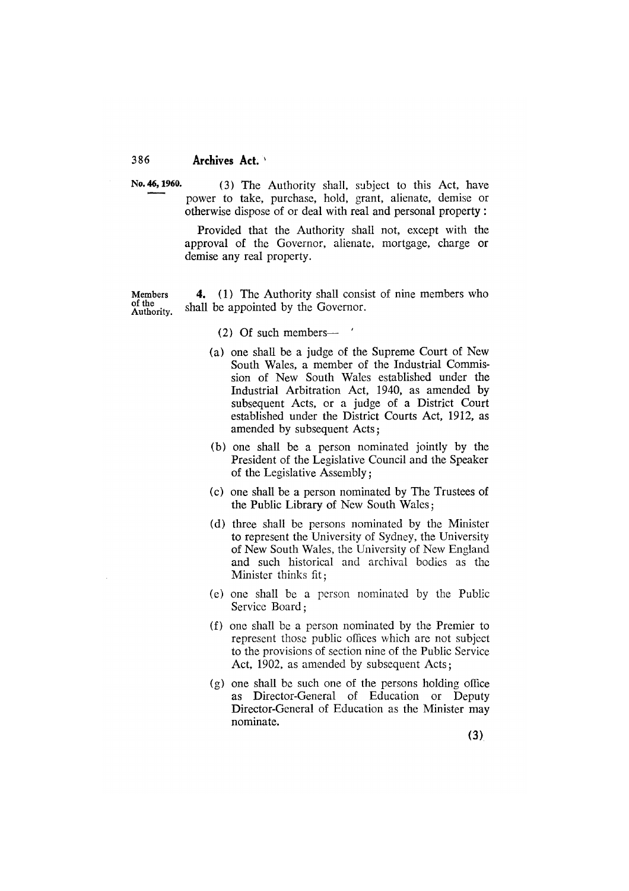No. 46, 1960.

(3) The Authority shall, subject to this Act, have power to take, purchase, hold, grant, alienate, demise or otherwise dispose of or deal with real and personal property:

Provided that the Authority shall not, except with the approval of the Governor, alienate, mortgage, charge or demise any real property.

(1) The Authority shall consist of nine members who Members 4. of the shall be appointed by the Governor. Authority.

## $(2)$  Of such members  $\rightarrow$

- (a) one shall be a judge of the Supreme Court of New South Wales, a member of the Industrial Commission of New South Wales established under the Industrial Arbitration Act, 1940, as amended by subsequent Acts, or a judge of a District Court established under the District Courts Act, 1912, as amended by subsequent Acts;
- (b) one shall be a person nominated jointly by the President of the Legislative Council and the Speaker of the Legislative Assembly;
- (c) one shall be a person nominated by The Trustees of the Public Library of New South Wales:
- (d) three shall be persons nominated by the Minister to represent the University of Sydney, the University of New South Wales, the University of New England and such historical and archival bodies as the Minister thinks fit:
- (e) one shall be a person nominated by the Public Service Board:
- (f) one shall be a person nominated by the Premier to represent those public offices which are not subject to the provisions of section nine of the Public Service Act, 1902, as amended by subsequent Acts;
- $(g)$  one shall be such one of the persons holding office as Director-General of Education or Deputy Director-General of Education as the Minister may nominate.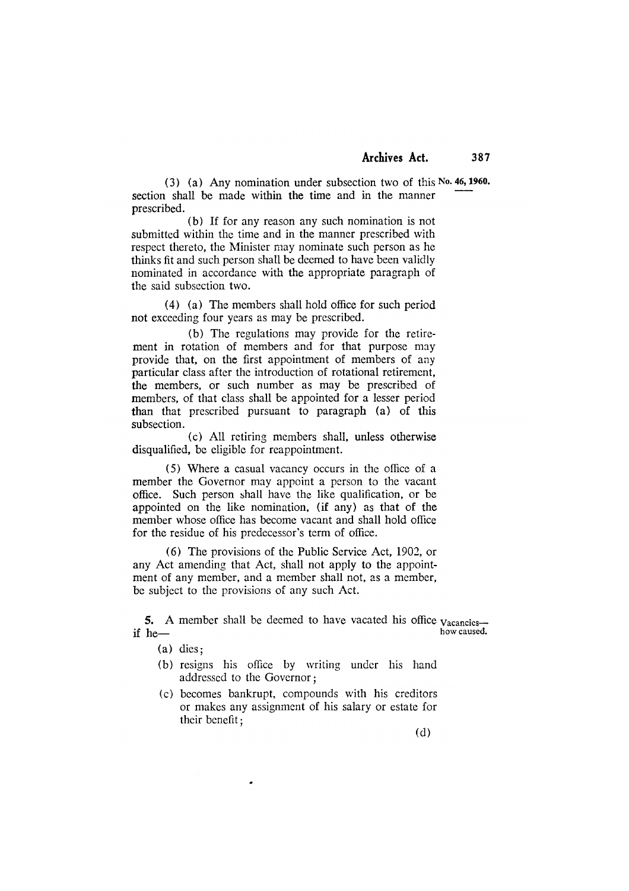(3) (a) Any nomination under subsection two of this No. 46, 1960. section shall be made within the time and in the manner prescribed.

(b) If for any reason any such nomination is not submitted within the time and in the manner prescribed with respect thereto, the Minister may nominate such person as he thinks fit and such person shall be deemed to have been validly nominated in accordance with the appropriate paragraph of the said subsection two.

(4) (a) The members shall hold office for such period not exceeding four years as may be prescribed.

(b) The regulations may provide for the retirement in rotation of members and for that purpose may provide that, on the first appointment of members of any particular class after the introduction of rotational retirement, the members, or such number as may be prescribed of members, of that class shall be appointed for a lesser period than that prescribed pursuant to paragraph (a) of this subsection.

(c) All retiring members shall, unless otherwise disqualified, be eligible for reappointment.

(5) Where a casual vacancy occurs in the office of a member the Governor may appoint a person to the vacant office. Such person shall have the like qualification, or be appointed on the like nomination, (if any) as that of the member whose office has become vacant and shall hold office for the residue of his predecessor's term of office.

(6) The provisions of the Public Service Act, 1902, or any Act amending that Act, shall not apply to the appointment of any member, and a member shall not, as a member, be subject to the provisions of any such Act.

5. A member shall be deemed to have vacated his office  $v_{\text{acancies}}$ . how caused. if  $he$ —

- $(a)$  dies;
- (b) resigns his office by writing under his hand addressed to the Governor;
- (c) becomes bankrupt, compounds with his creditors or makes any assignment of his salary or estate for their benefit;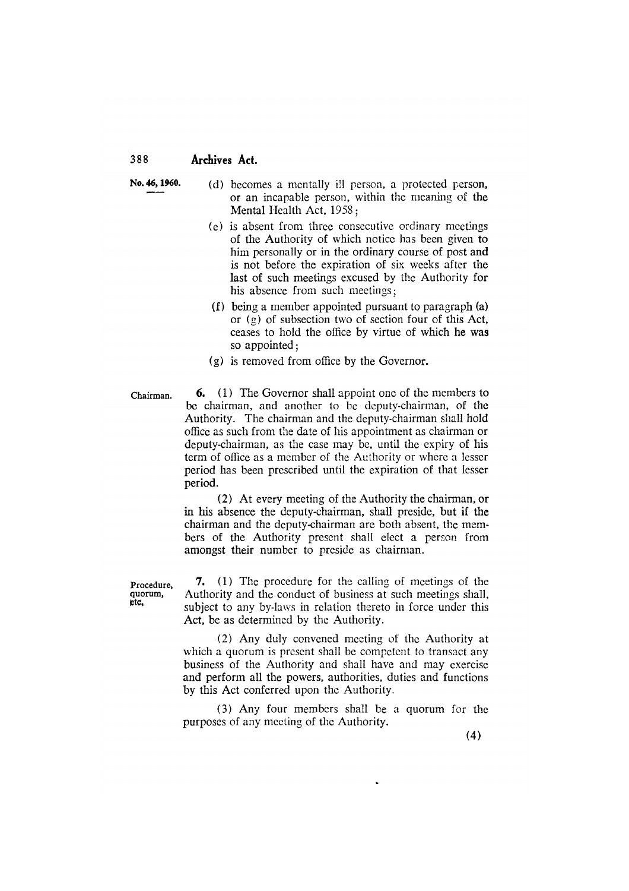No. 46, 1960.

(d) becomes a mentally ill person, a protected person, or an incapable person, within the meaning of the Mental Health Act, 1958;

- (e) is absent from three consecutive ordinary meetings of the Authority of which notice has been given to him personally or in the ordinary course of post and is not before the expiration of six weeks after the last of such meetings excused by the Authority for his absence from such meetings;
- (f) being a member appointed pursuant to paragraph (a) or  $(g)$  of subsection two of section four of this Act, ceases to hold the office by virtue of which he was so appointed:
- (g) is removed from office by the Governor.
- **6.** (1) The Governor shall appoint one of the members to Chairman. be chairman, and another to be deputy-chairman, of the Authority. The chairman and the deputy-chairman shall hold office as such from the date of his appointment as chairman or deputy-chairman, as the case may be, until the expiry of his term of office as a member of the Authority or where a lesser period has been prescribed until the expiration of that lesser period.

(2) At every meeting of the Authority the chairman, or in his absence the deputy-chairman, shall preside, but if the chairman and the deputy-chairman are both absent, the members of the Authority present shall elect a person from amongst their number to preside as chairman.

Procedure, quorum, etc.

7. (1) The procedure for the calling of meetings of the Authority and the conduct of business at such meetings shall, subject to any by-laws in relation thereto in force under this Act, be as determined by the Authority.

(2) Any duly convened meeting of the Authority at which a quorum is present shall be competent to transact any business of the Authority and shall have and may exercise and perform all the powers, authorities, duties and functions by this Act conferred upon the Authority.

(3) Any four members shall be a quorum for the purposes of any meeting of the Authority.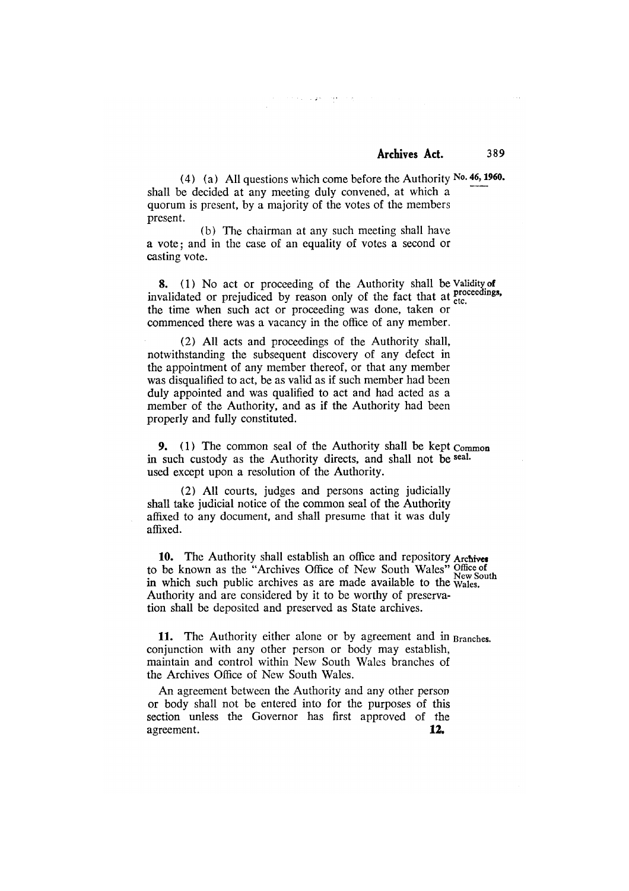(4) (a) All questions which come before the Authority No. 46, 1960. shall be decided at any meeting duly convened, at which a quorum is present, by a majority of the votes of the members present.

فأوجب والمتواري والمراجع

(b) The chairman at any such meeting shall have a vote; and in the case of an equality of votes a second or casting vote.

8. (1) No act or proceeding of the Authority shall be Validity of invalidated or prejudiced by reason only of the fact that at proceedings, the time when such act or proceeding was done, taken or commenced there was a vacancy in the office of any member.

(2) All acts and proceedings of the Authority shall, notwithstanding the subsequent discovery of any defect in the appointment of any member thereof, or that any member was disqualified to act, be as valid as if such member had been duly appointed and was qualified to act and had acted as a member of the Authority, and as if the Authority had been properly and fully constituted.

9. (1) The common seal of the Authority shall be kept Common in such custody as the Authority directs, and shall not be seal. used except upon a resolution of the Authority.

(2) All courts, judges and persons acting judicially shall take judicial notice of the common seal of the Authority affixed to any document, and shall presume that it was duly affixed.

10. The Authority shall establish an office and repository Archives to be known as the "Archives Office of New South Wales" Office of New South in which such public archives as are made available to the wales. Authority and are considered by it to be worthy of preservation shall be deposited and preserved as State archives.

11. The Authority either alone or by agreement and in Branches. conjunction with any other person or body may establish, maintain and control within New South Wales branches of the Archives Office of New South Wales.

An agreement between the Authority and any other person or body shall not be entered into for the purposes of this section unless the Governor has first approved of the agreement.  $12.$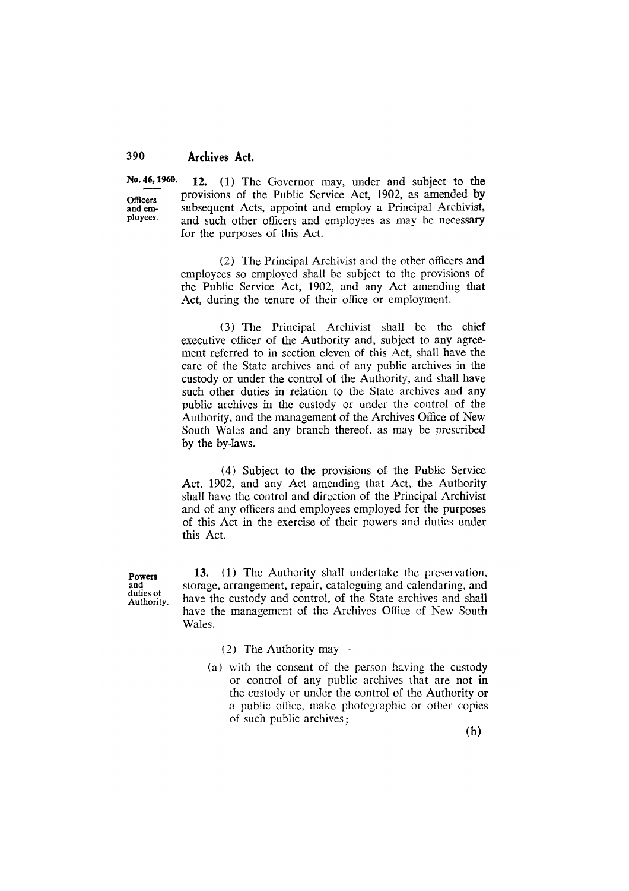Officers and emplovees.

No. 46, 1960. 12. (1) The Governor may, under and subject to the provisions of the Public Service Act, 1902, as amended by subsequent Acts, appoint and employ a Principal Archivist, and such other officers and employees as may be necessary for the purposes of this Act.

> (2) The Principal Archivist and the other officers and employees so employed shall be subject to the provisions of the Public Service Act, 1902, and any Act amending that Act, during the tenure of their office or employment.

> (3) The Principal Archivist shall be the chief executive officer of the Authority and, subject to any agreement referred to in section eleven of this Act, shall have the care of the State archives and of any public archives in the custody or under the control of the Authority, and shall have such other duties in relation to the State archives and any public archives in the custody or under the control of the Authority, and the management of the Archives Office of New South Wales and any branch thereof, as may be prescribed by the by-laws.

> (4) Subject to the provisions of the Public Service Act, 1902, and any Act amending that Act, the Authority shall have the control and direction of the Principal Archivist and of any officers and employees employed for the purposes of this Act in the exercise of their powers and duties under this Act.

Powers and duties of Authority.

13. (1) The Authority shall undertake the preservation, storage, arrangement, repair, cataloguing and calendaring, and have the custody and control, of the State archives and shall have the management of the Archives Office of New South Wales.

(2) The Authority may—

(a) with the consent of the person having the custody or control of any public archives that are not in the custody or under the control of the Authority or a public office, make photographic or other copies of such public archives: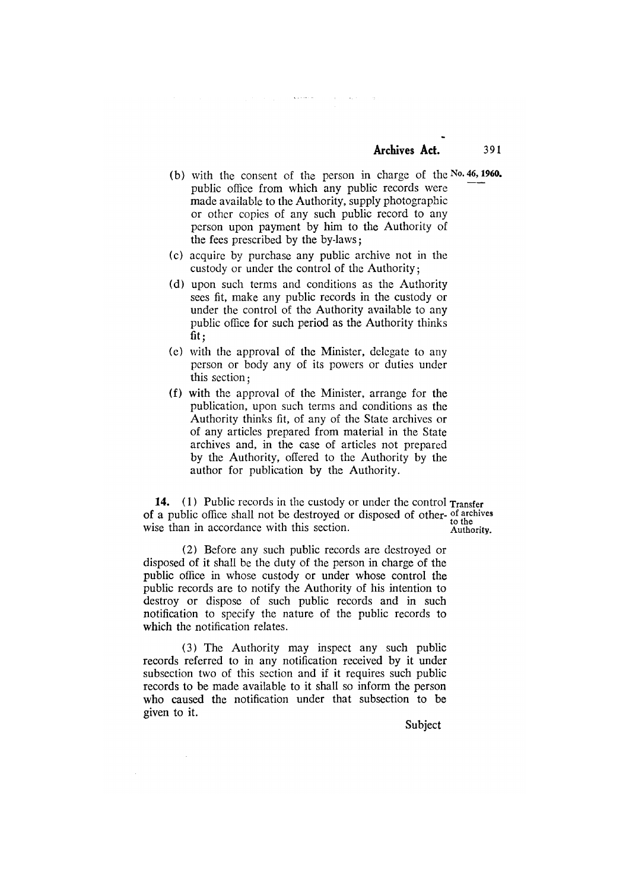(b) with the consent of the person in charge of the  $No. 46$ , 1960. public office from which any public records were made available to the Authority, supply photographic or other copies of any such public record to any person upon payment by him to the Authority of the fees prescribed by the by-laws;

 $\mathcal{L}_{\mathbf{A}}$  , and  $\mathcal{L}_{\mathbf{A}}$ 

 $\mathcal{L}_{\mathrm{H}}$  , where  $\mathcal{L}_{\mathrm{H}}$ 

- (c) acquire by purchase any public archive not in the custody or under the control of the Authority;
- (d) upon such terms and conditions as the Authority sees fit, make any public records in the custody or under the control of the Authority available to any public office for such period as the Authority thinks  $fit:$
- (e) with the approval of the Minister, delegate to any person or body any of its powers or duties under this section:
- (f) with the approval of the Minister, arrange for the publication, upon such terms and conditions as the Authority thinks fit, of any of the State archives or of any articles prepared from material in the State archives and, in the case of articles not prepared by the Authority, offered to the Authority by the author for publication by the Authority.

14. (1) Public records in the custody or under the control Transfer of a public office shall not be destroyed or disposed of other-of archives to the<br>Authority. wise than in accordance with this section.

(2) Before any such public records are destroyed or disposed of it shall be the duty of the person in charge of the public office in whose custody or under whose control the public records are to notify the Authority of his intention to destroy or dispose of such public records and in such notification to specify the nature of the public records to which the notification relates.

(3) The Authority may inspect any such public records referred to in any notification received by it under subsection two of this section and if it requires such public records to be made available to it shall so inform the person who caused the notification under that subsection to be given to it.

 $\bar{\beta}$ 

**Subject** 

391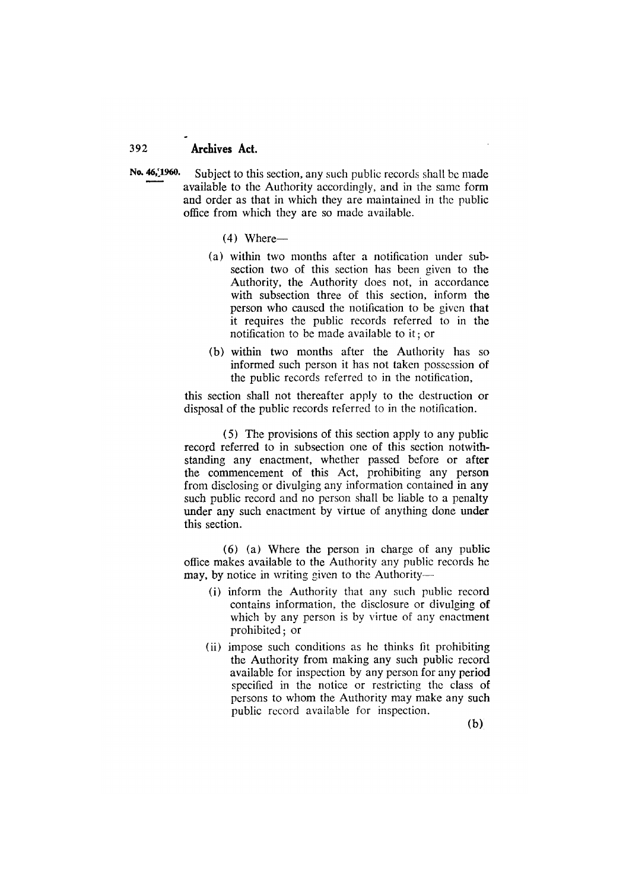- No. 46, 1960. Subject to this section, any such public records shall be made available to the Authority accordingly, and in the same form and order as that in which they are maintained in the public office from which they are so made available.
	- $(4)$  Where-
	- (a) within two months after a notification under subsection two of this section has been given to the Authority, the Authority does not, in accordance with subsection three of this section, inform the person who caused the notification to be given that it requires the public records referred to in the notification to be made available to it; or
	- (b) within two months after the Authority has so informed such person it has not taken possession of the public records referred to in the notification,

this section shall not thereafter apply to the destruction or disposal of the public records referred to in the notification.

(5) The provisions of this section apply to any public record referred to in subsection one of this section notwithstanding any enactment, whether passed before or after the commencement of this Act, prohibiting any person from disclosing or divulging any information contained in any such public record and no person shall be liable to a penalty under any such enactment by virtue of anything done under this section.

 $(6)$  (a) Where the person in charge of any public office makes available to the Authority any public records he may, by notice in writing given to the Authority-

- (i) inform the Authority that any such public record contains information, the disclosure or divulging of which by any person is by virtue of any enactment prohibited: or
- (ii) impose such conditions as he thinks fit prohibiting the Authority from making any such public record available for inspection by any person for any period specified in the notice or restricting the class of persons to whom the Authority may make any such public record available for inspection.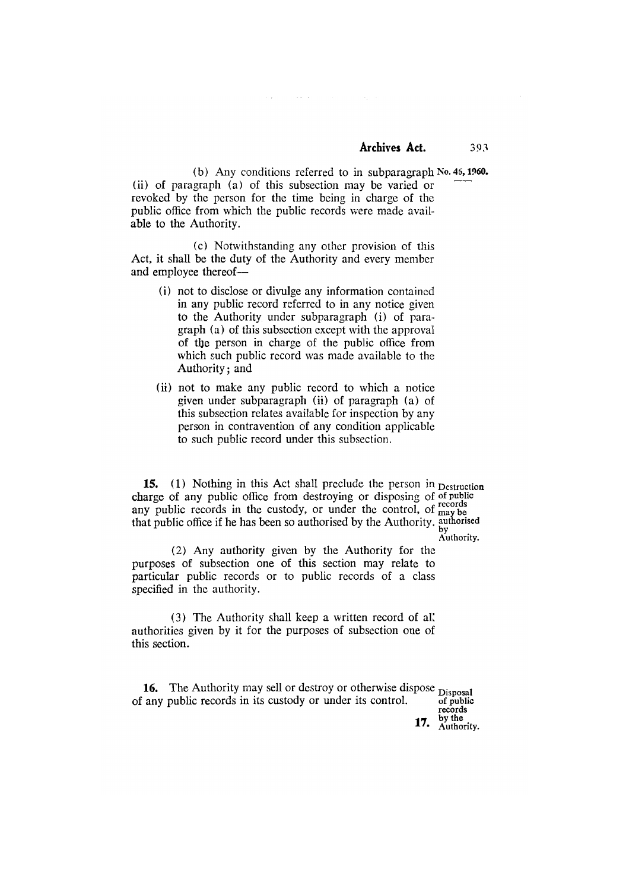$393$ 

 $\sim 10^{-1}$  .

(b) Any conditions referred to in subparagraph No. 46, 1960. (ii) of paragraph (a) of this subsection may be varied or revoked by the person for the time being in charge of the public office from which the public records were made available to the Authority.

(c) Notwithstanding any other provision of this Act, it shall be the duty of the Authority and every member and employee thereof-

 $\mathcal{L}(\mathcal{A})$ 

- (i) not to disclose or divulge any information contained in any public record referred to in any notice given to the Authority under subparagraph (i) of paragraph (a) of this subsection except with the approval of the person in charge of the public office from which such public record was made available to the Authority: and
- (ii) not to make any public record to which a notice given under subparagraph (ii) of paragraph (a) of this subsection relates available for inspection by any person in contravention of any condition applicable to such public record under this subsection.

15. (1) Nothing in this Act shall preclude the person in Destruction charge of any public office from destroying or disposing of of public any public records in the custody, or under the control, of may be<br>that public office if he has been so authorised by the Authority. authorised<br>by Authority.

(2) Any authority given by the Authority for the purposes of subsection one of this section may relate to particular public records or to public records of a class specified in the authority.

(3) The Authority shall keep a written record of all authorities given by it for the purposes of subsection one of this section.

16. The Authority may sell or destroy or otherwise dispose Disposal of any public records in its custody or under its control. of public

records by the

17. Authority.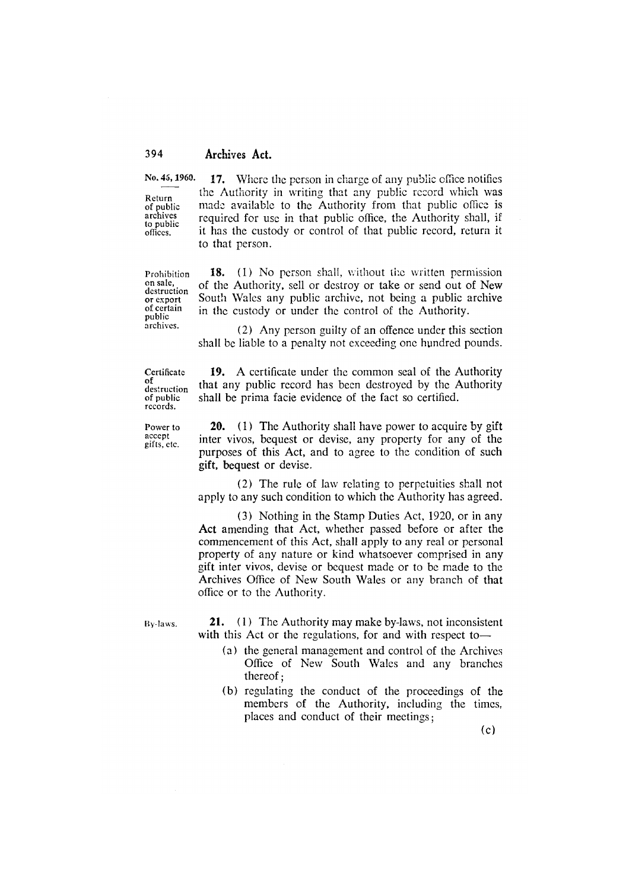Return of public archives to public offices.

No. 45, 1960. 17. Where the person in charge of any public office notifies the Authority in writing that any public record which was made available to the Authority from that public office is required for use in that public office, the Authority shall, if it has the custody or control of that public record, return it to that person.

Prohibition on sale, destruction or export of certain public archives.

18. (1) No person shall, without the written permission of the Authority, sell or destroy or take or send out of New South Wales any public archive, not being a public archive in the custody or under the control of the Authority.

(2) Any person guilty of an offence under this section shall be liable to a penalty not exceeding one hundred pounds.

Certificate of<br>destruction of public records.

Power to accept gifts, etc.

19. A certificate under the common seal of the Authority that any public record has been destroyed by the Authority shall be prima facie evidence of the fact so certified.

**20.** (1) The Authority shall have power to acquire by gift inter vivos, bequest or devise, any property for any of the purposes of this Act, and to agree to the condition of such gift, bequest or devise.

(2) The rule of law relating to perpetuities shall not apply to any such condition to which the Authority has agreed.

(3) Nothing in the Stamp Duties Act, 1920, or in any Act amending that Act, whether passed before or after the commencement of this Act, shall apply to any real or personal property of any nature or kind whatsoever comprised in any gift inter vivos, devise or bequest made or to be made to the Archives Office of New South Wales or any branch of that office or to the Authority.

By-laws.

21. (1) The Authority may make by-laws, not inconsistent with this Act or the regulations, for and with respect to-

- (a) the general management and control of the Archives Office of New South Wales and any branches thereof:
- (b) regulating the conduct of the proceedings of the members of the Authority, including the times. places and conduct of their meetings;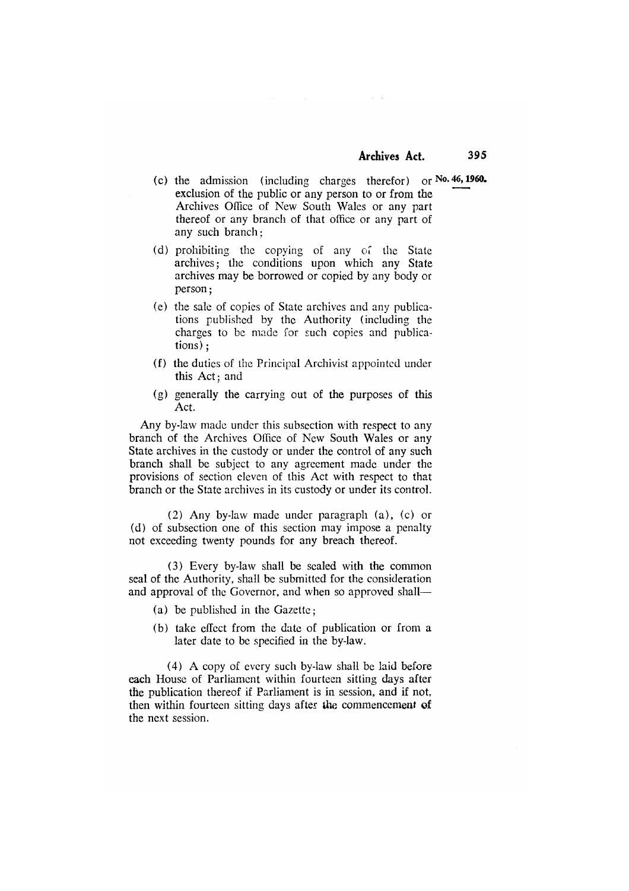- (c) the admission (including charges therefor) or  $No. 46$ , 1960. exclusion of the public or any person to or from the Archives Office of New South Wales or any part thereof or any branch of that office or any part of any such branch:
- (d) prohibiting the copying of any of the State archives; the conditions upon which any State archives may be borrowed or copied by any body or person:
- (e) the sale of copies of State archives and any publications published by the Authority (including the charges to be made for such copies and publica $tions$ :
- (f) the duties of the Principal Archivist appointed under this Act; and
- (g) generally the carrying out of the purposes of this Act.

Any by-law made under this subsection with respect to any branch of the Archives Office of New South Wales or any State archives in the custody or under the control of any such branch shall be subject to any agreement made under the provisions of section eleven of this Act with respect to that branch or the State archives in its custody or under its control.

(2) Any by-law made under paragraph (a), (c) or (d) of subsection one of this section may impose a penalty not exceeding twenty pounds for any breach thereof.

(3) Every by-law shall be sealed with the common seal of the Authority, shall be submitted for the consideration and approval of the Governor, and when so approved shall-

- (a) be published in the Gazette:
- (b) take effect from the date of publication or from a later date to be specified in the by-law.

(4) A copy of every such by-law shall be laid before each House of Parliament within fourteen sitting days after the publication thereof if Parliament is in session, and if not. then within fourteen sitting days after the commencement of the next session.

395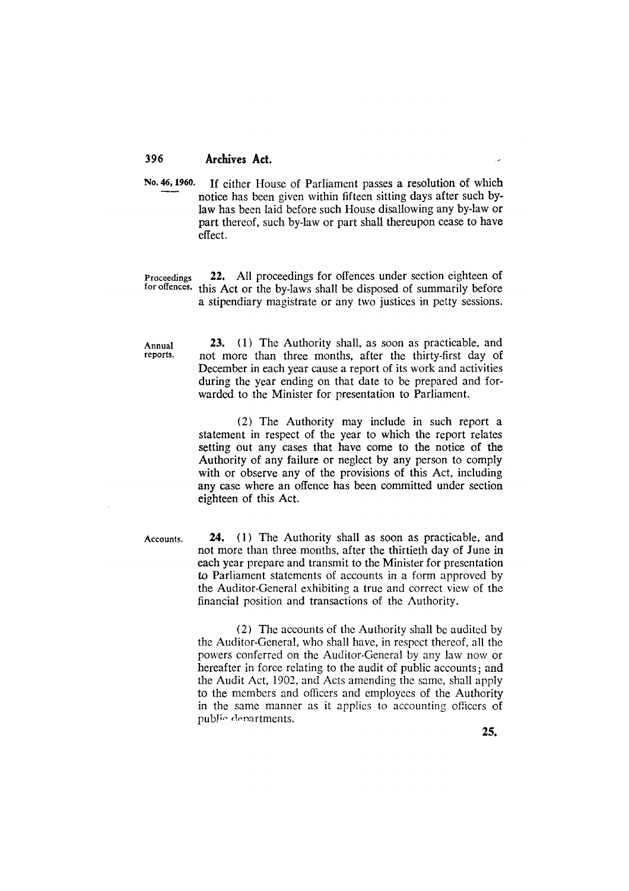No. 46, 1960. If either House of Parliament passes a resolution of which notice has been given within fifteen sitting days after such bylaw has been laid before such House disallowing any by-law or part thereof, such by-law or part shall thereupon cease to have effect.

22. All proceedings for offences under section eighteen of Proceedings for offences. this Act or the by-laws shall be disposed of summarily before a stipendiary magistrate or any two justices in petty sessions.

Annual reports.

23. (1) The Authority shall, as soon as practicable, and not more than three months, after the thirty-first day of December in each year cause a report of its work and activities during the year ending on that date to be prepared and forwarded to the Minister for presentation to Parliament.

(2) The Authority may include in such report a statement in respect of the year to which the report relates setting out any cases that have come to the notice of the Authority of any failure or neglect by any person to comply with or observe any of the provisions of this Act, including any case where an offence has been committed under section eighteen of this Act.

Accounts.

**24.** (1) The Authority shall as soon as practicable, and not more than three months, after the thirtieth day of June in each year prepare and transmit to the Minister for presentation to Parliament statements of accounts in a form approved by the Auditor-General exhibiting a true and correct view of the financial position and transactions of the Authority.

(2) The accounts of the Authority shall be audited by the Auditor-General, who shall have, in respect thereof, all the powers conferred on the Auditor-General by any law now or hereafter in force relating to the audit of public accounts; and the Audit Act, 1902, and Acts amending the same, shall apply to the members and officers and employees of the Authority in the same manner as it applies to accounting officers of public departments.